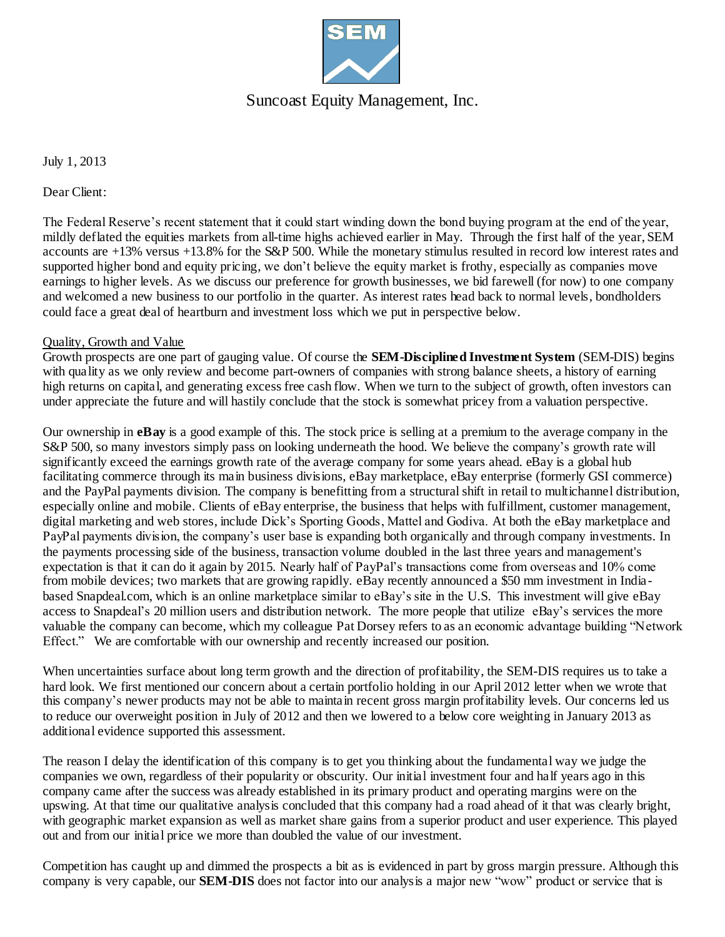

## Suncoast Equity Management, Inc.

July 1, 2013

Dear Client:

The Federal Reserve's recent statement that it could start winding down the bond buying program at the end of the year, mildly deflated the equities markets from all-time highs achieved earlier in May. Through the first half of the year, SEM accounts are +13% versus +13.8% for the S&P 500. While the monetary stimulus resulted in record low interest rates and supported higher bond and equity pricing, we don't believe the equity market is frothy, especially as companies move earnings to higher levels. As we discuss our preference for growth businesses, we bid farewell (for now) to one company and welcomed a new business to our portfolio in the quarter. As interest rates head back to normal levels, bondholders could face a great deal of heartburn and investment loss which we put in perspective below.

#### Quality, Growth and Value

Growth prospects are one part of gauging value. Of course the **SEM-Disciplined Investment System** (SEM-DIS) begins with quality as we only review and become part-owners of companies with strong balance sheets, a history of earning high returns on capital, and generating excess free cash flow. When we turn to the subject of growth, often investors can under appreciate the future and will hastily conclude that the stock is somewhat pricey from a valuation perspective.

Our ownership in **eBay** is a good example of this. The stock price is selling at a premium to the average company in the S&P 500, so many investors simply pass on looking underneath the hood. We believe the company's growth rate will significantly exceed the earnings growth rate of the average company for some years ahead. eBay is a global hub facilitating commerce through its main business divisions, eBay marketplace, eBay enterprise (formerly GSI commerce) and the PayPal payments division. The company is benefitting from a structural shift in retail to multichannel distribution, especially online and mobile. Clients of eBay enterprise, the business that helps with fulfillment, customer management, digital marketing and web stores, include Dick's Sporting Goods, Mattel and Godiva. At both the eBay marketplace and PayPal payments division, the company's user base is expanding both organically and through company investments. In the payments processing side of the business, transaction volume doubled in the last three years and management's expectation is that it can do it again by 2015. Nearly half of PayPal's transactions come from overseas and 10% come from mobile devices; two markets that are growing rapidly. eBay recently announced a \$50 mm investment in Indiabased Snapdeal.com, which is an online marketplace similar to eBay's site in the U.S. This investment will give eBay access to Snapdeal's 20 million users and distribution network. The more people that utilize eBay's services the more valuable the company can become, which my colleague Pat Dorsey refers to as an economic advantage building "Network Effect." We are comfortable with our ownership and recently increased our position.

When uncertainties surface about long term growth and the direction of profitability, the SEM-DIS requires us to take a hard look. We first mentioned our concern about a certain portfolio holding in our April 2012 letter when we wrote that this company's newer products may not be able to maintain recent gross margin profitability levels. Our concerns led us to reduce our overweight position in July of 2012 and then we lowered to a below core weighting in January 2013 as additional evidence supported this assessment.

The reason I delay the identification of this company is to get you thinking about the fundamental way we judge the companies we own, regardless of their popularity or obscurity. Our initial investment four and half years ago in this company came after the success was already established in its primary product and operating margins were on the upswing. At that time our qualitative analysis concluded that this company had a road ahead of it that was clearly bright, with geographic market expansion as well as market share gains from a superior product and user experience. This played out and from our initial price we more than doubled the value of our investment.

Competition has caught up and dimmed the prospects a bit as is evidenced in part by gross margin pressure. Although this company is very capable, our **SEM-DIS** does not factor into our analysis a major new "wow" product or service that is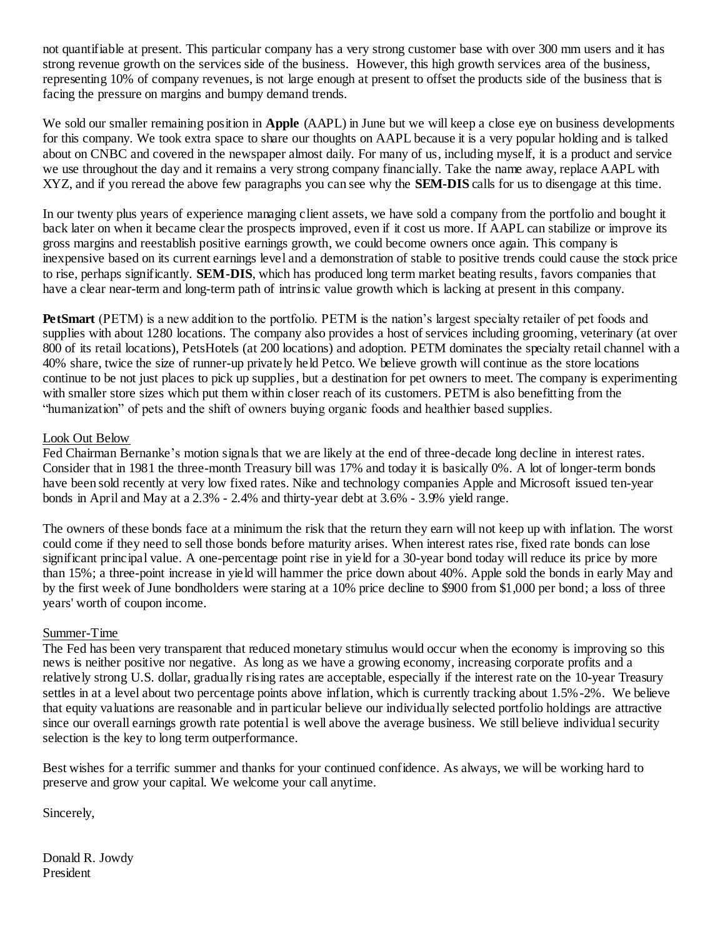not quantifiable at present. This particular company has a very strong customer base with over 300 mm users and it has strong revenue growth on the services side of the business. However, this high growth services area of the business, representing 10% of company revenues, is not large enough at present to offset the products side of the business that is facing the pressure on margins and bumpy demand trends.

We sold our smaller remaining position in **Apple** (AAPL) in June but we will keep a close eye on business developments for this company. We took extra space to share our thoughts on AAPL because it is a very popular holding and is talked about on CNBC and covered in the newspaper almost daily. For many of us, including myself, it is a product and service we use throughout the day and it remains a very strong company financially. Take the name away, replace AAPL with XYZ, and if you reread the above few paragraphs you can see why the **SEM-DIS** calls for us to disengage at this time.

In our twenty plus years of experience managing client assets, we have sold a company from the portfolio and bought it back later on when it became clear the prospects improved, even if it cost us more. If AAPL can stabilize or improve its gross margins and reestablish positive earnings growth, we could become owners once again. This company is inexpensive based on its current earnings level and a demonstration of stable to positive trends could cause the stock price to rise, perhaps significantly. **SEM-DIS**, which has produced long term market beating results, favors companies that have a clear near-term and long-term path of intrinsic value growth which is lacking at present in this company.

**PetSmart** (PETM) is a new addition to the portfolio. PETM is the nation's largest specialty retailer of pet foods and supplies with about 1280 locations. The company also provides a host of services including grooming, veterinary (at over 800 of its retail locations), PetsHotels (at 200 locations) and adoption. PETM dominates the specialty retail channel with a 40% share, twice the size of runner-up privately held Petco. We believe growth will continue as the store locations continue to be not just places to pick up supplies, but a destination for pet owners to meet. The company is experimenting with smaller store sizes which put them within closer reach of its customers. PETM is also benefitting from the "humanization" of pets and the shift of owners buying organic foods and healthier based supplies.

#### Look Out Below

Fed Chairman Bernanke's motion signals that we are likely at the end of three-decade long decline in interest rates. Consider that in 1981 the three-month Treasury bill was 17% and today it is basically 0%. A lot of longer-term bonds have been sold recently at very low fixed rates. Nike and technology companies Apple and Microsoft issued ten-year bonds in April and May at a 2.3% - 2.4% and thirty-year debt at 3.6% - 3.9% yield range.

The owners of these bonds face at a minimum the risk that the return they earn will not keep up with inflation. The worst could come if they need to sell those bonds before maturity arises. When interest rates rise, fixed rate bonds can lose significant principal value. A one-percentage point rise in yield for a 30-year bond today will reduce its price by more than 15%; a three-point increase in yield will hammer the price down about 40%. Apple sold the bonds in early May and by the first week of June bondholders were staring at a 10% price decline to \$900 from \$1,000 per bond; a loss of three years' worth of coupon income.

### Summer-Time

The Fed has been very transparent that reduced monetary stimulus would occur when the economy is improving so this news is neither positive nor negative. As long as we have a growing economy, increasing corporate profits and a relatively strong U.S. dollar, gradually rising rates are acceptable, especially if the interest rate on the 10-year Treasury settles in at a level about two percentage points above inflation, which is currently tracking about 1.5%-2%. We believe that equity valuations are reasonable and in particular believe our individually selected portfolio holdings are attractive since our overall earnings growth rate potential is well above the average business. We still believe individual security selection is the key to long term outperformance.

Best wishes for a terrific summer and thanks for your continued confidence. As always, we will be working hard to preserve and grow your capital. We welcome your call anytime.

Sincerely,

Donald R. Jowdy President